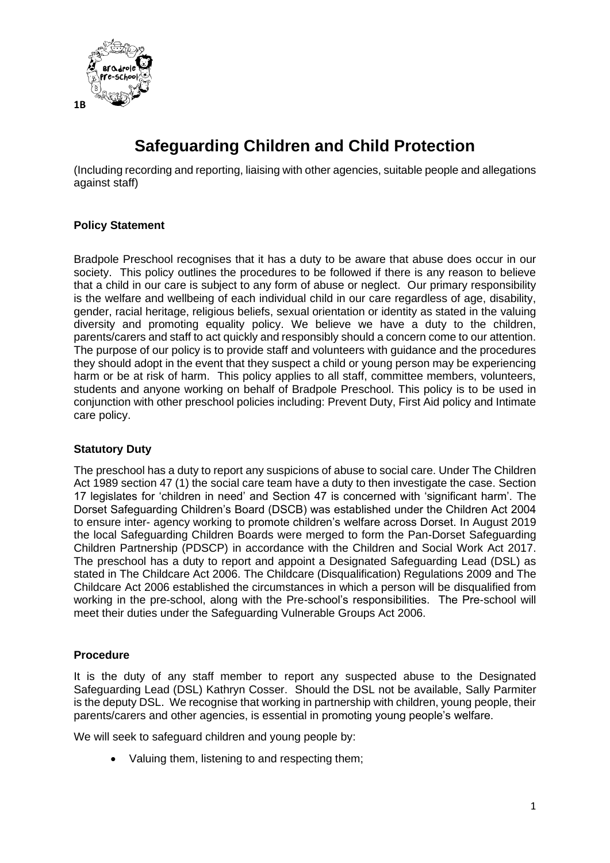

# **Safeguarding Children and Child Protection**

(Including recording and reporting, liaising with other agencies, suitable people and allegations against staff)

# **Policy Statement**

Bradpole Preschool recognises that it has a duty to be aware that abuse does occur in our society. This policy outlines the procedures to be followed if there is any reason to believe that a child in our care is subject to any form of abuse or neglect. Our primary responsibility is the welfare and wellbeing of each individual child in our care regardless of age, disability, gender, racial heritage, religious beliefs, sexual orientation or identity as stated in the valuing diversity and promoting equality policy. We believe we have a duty to the children, parents/carers and staff to act quickly and responsibly should a concern come to our attention. The purpose of our policy is to provide staff and volunteers with guidance and the procedures they should adopt in the event that they suspect a child or young person may be experiencing harm or be at risk of harm. This policy applies to all staff, committee members, volunteers, students and anyone working on behalf of Bradpole Preschool. This policy is to be used in conjunction with other preschool policies including: Prevent Duty, First Aid policy and Intimate care policy.

# **Statutory Duty**

The preschool has a duty to report any suspicions of abuse to social care. Under The Children Act 1989 section 47 (1) the social care team have a duty to then investigate the case. Section 17 legislates for 'children in need' and Section 47 is concerned with 'significant harm'. The Dorset Safeguarding Children's Board (DSCB) was established under the Children Act 2004 to ensure inter- agency working to promote children's welfare across Dorset. In August 2019 the local Safeguarding Children Boards were merged to form the Pan-Dorset Safeguarding Children Partnership (PDSCP) in accordance with the Children and Social Work Act 2017. The preschool has a duty to report and appoint a Designated Safeguarding Lead (DSL) as stated in The Childcare Act 2006. The Childcare (Disqualification) Regulations 2009 and The Childcare Act 2006 established the circumstances in which a person will be disqualified from working in the pre-school, along with the Pre-school's responsibilities. The Pre-school will meet their duties under the Safeguarding Vulnerable Groups Act 2006.

# **Procedure**

It is the duty of any staff member to report any suspected abuse to the Designated Safeguarding Lead (DSL) Kathryn Cosser. Should the DSL not be available, Sally Parmiter is the deputy DSL. We recognise that working in partnership with children, young people, their parents/carers and other agencies, is essential in promoting young people's welfare.

We will seek to safeguard children and young people by:

• Valuing them, listening to and respecting them;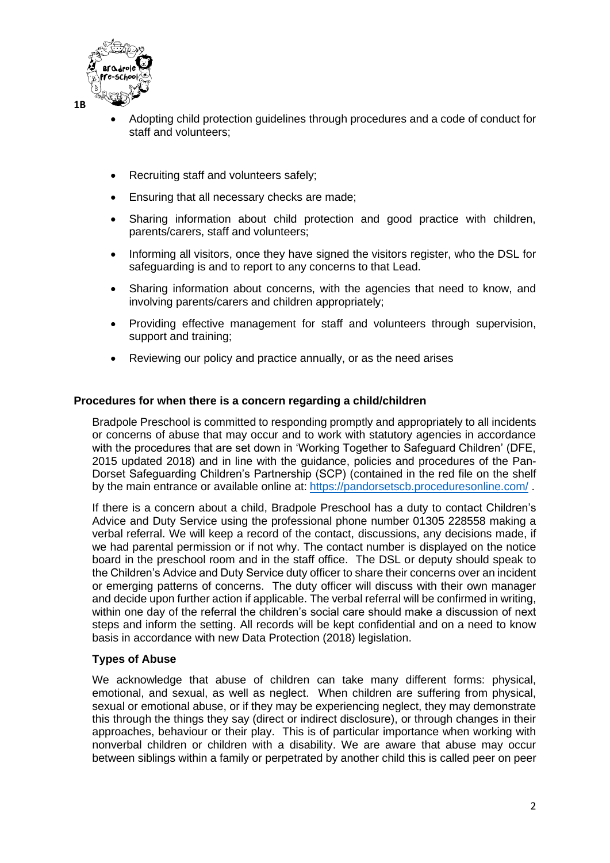

- Adopting child protection guidelines through procedures and a code of conduct for staff and volunteers;
- Recruiting staff and volunteers safely;
- Ensuring that all necessary checks are made;
- Sharing information about child protection and good practice with children, parents/carers, staff and volunteers;
- Informing all visitors, once they have signed the visitors register, who the DSL for safeguarding is and to report to any concerns to that Lead.
- Sharing information about concerns, with the agencies that need to know, and involving parents/carers and children appropriately;
- Providing effective management for staff and volunteers through supervision, support and training;
- Reviewing our policy and practice annually, or as the need arises

# **Procedures for when there is a concern regarding a child/children**

Bradpole Preschool is committed to responding promptly and appropriately to all incidents or concerns of abuse that may occur and to work with statutory agencies in accordance with the procedures that are set down in 'Working Together to Safeguard Children' (DFE, 2015 updated 2018) and in line with the guidance, policies and procedures of the Pan-Dorset Safeguarding Children's Partnership (SCP) (contained in the red file on the shelf by the main entrance or available online at: <https://pandorsetscb.proceduresonline.com/>.

If there is a concern about a child, Bradpole Preschool has a duty to contact Children's Advice and Duty Service using the professional phone number 01305 228558 making a verbal referral. We will keep a record of the contact, discussions, any decisions made, if we had parental permission or if not why. The contact number is displayed on the notice board in the preschool room and in the staff office. The DSL or deputy should speak to the Children's Advice and Duty Service duty officer to share their concerns over an incident or emerging patterns of concerns. The duty officer will discuss with their own manager and decide upon further action if applicable. The verbal referral will be confirmed in writing, within one day of the referral the children's social care should make a discussion of next steps and inform the setting. All records will be kept confidential and on a need to know basis in accordance with new Data Protection (2018) legislation.

# **Types of Abuse**

We acknowledge that abuse of children can take many different forms: physical, emotional, and sexual, as well as neglect. When children are suffering from physical, sexual or emotional abuse, or if they may be experiencing neglect, they may demonstrate this through the things they say (direct or indirect disclosure), or through changes in their approaches, behaviour or their play. This is of particular importance when working with nonverbal children or children with a disability. We are aware that abuse may occur between siblings within a family or perpetrated by another child this is called peer on peer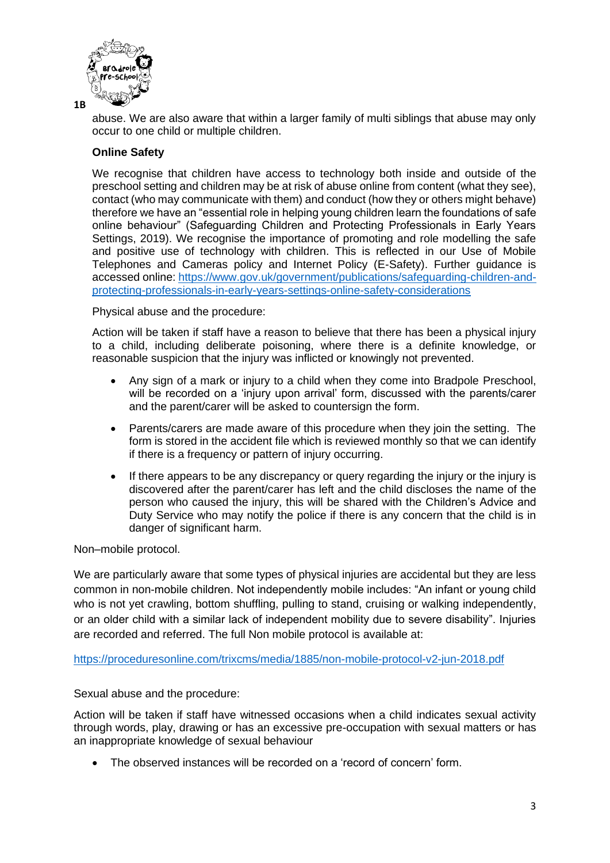

abuse. We are also aware that within a larger family of multi siblings that abuse may only occur to one child or multiple children.

# **Online Safety**

We recognise that children have access to technology both inside and outside of the preschool setting and children may be at risk of abuse online from content (what they see), contact (who may communicate with them) and conduct (how they or others might behave) therefore we have an "essential role in helping young children learn the foundations of safe online behaviour" (Safeguarding Children and Protecting Professionals in Early Years Settings, 2019). We recognise the importance of promoting and role modelling the safe and positive use of technology with children. This is reflected in our Use of Mobile Telephones and Cameras policy and Internet Policy (E-Safety). Further guidance is accessed online: [https://www.gov.uk/government/publications/safeguarding-children-and](https://www.gov.uk/government/publications/safeguarding-children-and-protecting-professionals-in-early-years-settings-online-safety-considerations)[protecting-professionals-in-early-years-settings-online-safety-considerations](https://www.gov.uk/government/publications/safeguarding-children-and-protecting-professionals-in-early-years-settings-online-safety-considerations)

Physical abuse and the procedure:

Action will be taken if staff have a reason to believe that there has been a physical injury to a child, including deliberate poisoning, where there is a definite knowledge, or reasonable suspicion that the injury was inflicted or knowingly not prevented.

- Any sign of a mark or injury to a child when they come into Bradpole Preschool, will be recorded on a 'injury upon arrival' form, discussed with the parents/carer and the parent/carer will be asked to countersign the form.
- Parents/carers are made aware of this procedure when they join the setting. The form is stored in the accident file which is reviewed monthly so that we can identify if there is a frequency or pattern of injury occurring.
- If there appears to be any discrepancy or query regarding the injury or the injury is discovered after the parent/carer has left and the child discloses the name of the person who caused the injury, this will be shared with the Children's Advice and Duty Service who may notify the police if there is any concern that the child is in danger of significant harm.

Non–mobile protocol.

We are particularly aware that some types of physical injuries are accidental but they are less common in non-mobile children. Not independently mobile includes: "An infant or young child who is not yet crawling, bottom shuffling, pulling to stand, cruising or walking independently, or an older child with a similar lack of independent mobility due to severe disability". Injuries are recorded and referred. The full Non mobile protocol is available at:

<https://proceduresonline.com/trixcms/media/1885/non-mobile-protocol-v2-jun-2018.pdf>

Sexual abuse and the procedure:

Action will be taken if staff have witnessed occasions when a child indicates sexual activity through words, play, drawing or has an excessive pre-occupation with sexual matters or has an inappropriate knowledge of sexual behaviour

• The observed instances will be recorded on a 'record of concern' form.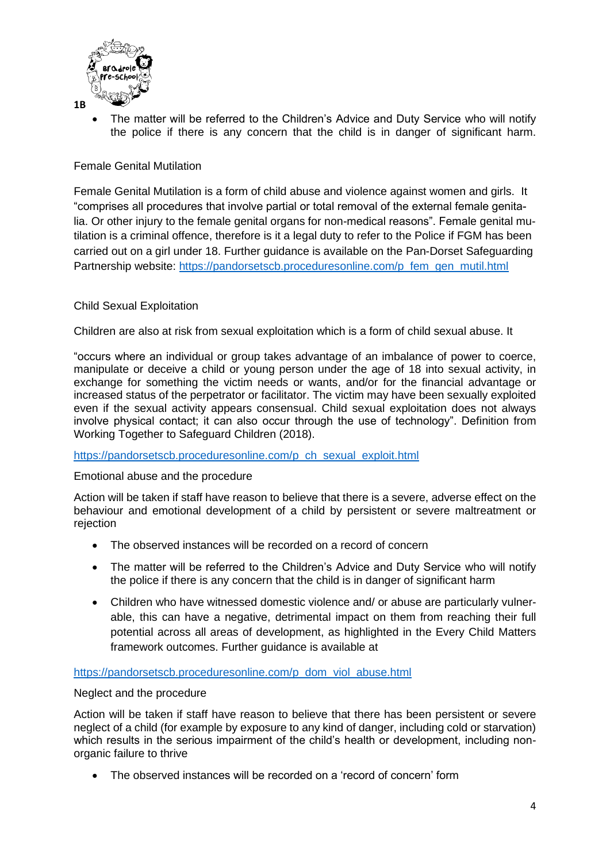

The matter will be referred to the Children's Advice and Duty Service who will notify the police if there is any concern that the child is in danger of significant harm.

# Female Genital Mutilation

Female Genital Mutilation is a form of child abuse and violence against women and girls. It "comprises all procedures that involve partial or total removal of the external female genitalia. Or other injury to the female genital organs for non-medical reasons". Female genital mutilation is a criminal offence, therefore is it a legal duty to refer to the Police if FGM has been carried out on a girl under 18. Further guidance is available on the Pan-Dorset Safeguarding Partnership website: [https://pandorsetscb.proceduresonline.com/p\\_fem\\_gen\\_mutil.html](https://pandorsetscb.proceduresonline.com/p_fem_gen_mutil.html)

# Child Sexual Exploitation

Children are also at risk from sexual exploitation which is a form of child sexual abuse. It

"occurs where an individual or group takes advantage of an imbalance of power to coerce, manipulate or deceive a child or young person under the age of 18 into sexual activity, in exchange for something the victim needs or wants, and/or for the financial advantage or increased status of the perpetrator or facilitator. The victim may have been sexually exploited even if the sexual activity appears consensual. Child sexual exploitation does not always involve physical contact; it can also occur through the use of technology". Definition from Working Together to Safeguard Children (2018).

#### [https://pandorsetscb.proceduresonline.com/p\\_ch\\_sexual\\_exploit.html](https://pandorsetscb.proceduresonline.com/p_ch_sexual_exploit.html)

# Emotional abuse and the procedure

Action will be taken if staff have reason to believe that there is a severe, adverse effect on the behaviour and emotional development of a child by persistent or severe maltreatment or rejection

- The observed instances will be recorded on a record of concern
- The matter will be referred to the Children's Advice and Duty Service who will notify the police if there is any concern that the child is in danger of significant harm
- Children who have witnessed domestic violence and/ or abuse are particularly vulnerable, this can have a negative, detrimental impact on them from reaching their full potential across all areas of development, as highlighted in the Every Child Matters framework outcomes. Further guidance is available at

[https://pandorsetscb.proceduresonline.com/p\\_dom\\_viol\\_abuse.html](https://pandorsetscb.proceduresonline.com/p_dom_viol_abuse.html)

# Neglect and the procedure

Action will be taken if staff have reason to believe that there has been persistent or severe neglect of a child (for example by exposure to any kind of danger, including cold or starvation) which results in the serious impairment of the child's health or development, including nonorganic failure to thrive

• The observed instances will be recorded on a 'record of concern' form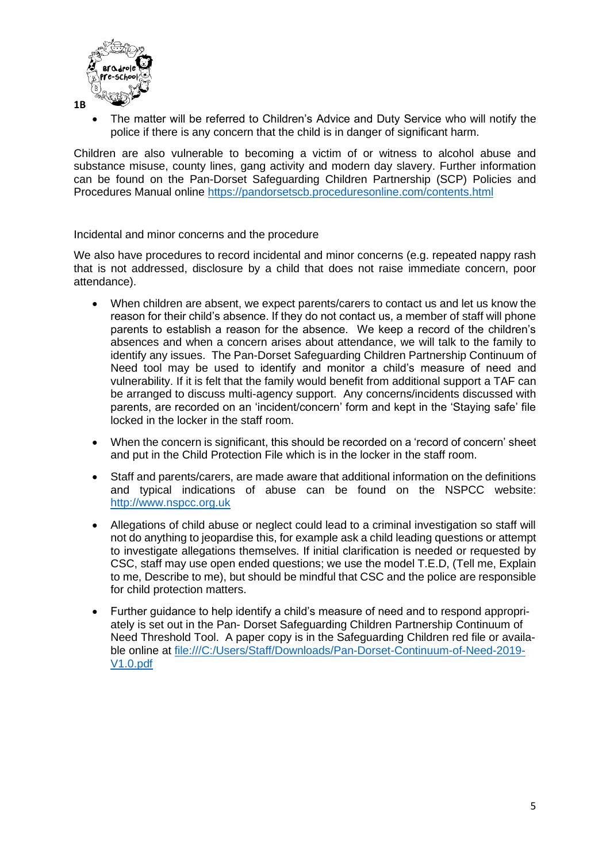

The matter will be referred to Children's Advice and Duty Service who will notify the police if there is any concern that the child is in danger of significant harm.

Children are also vulnerable to becoming a victim of or witness to alcohol abuse and substance misuse, county lines, gang activity and modern day slavery. Further information can be found on the Pan-Dorset Safeguarding Children Partnership (SCP) Policies and Procedures Manual online <https://pandorsetscb.proceduresonline.com/contents.html>

#### Incidental and minor concerns and the procedure

We also have procedures to record incidental and minor concerns (e.g. repeated nappy rash that is not addressed, disclosure by a child that does not raise immediate concern, poor attendance).

- When children are absent, we expect parents/carers to contact us and let us know the reason for their child's absence. If they do not contact us, a member of staff will phone parents to establish a reason for the absence. We keep a record of the children's absences and when a concern arises about attendance, we will talk to the family to identify any issues. The Pan-Dorset Safeguarding Children Partnership Continuum of Need tool may be used to identify and monitor a child's measure of need and vulnerability. If it is felt that the family would benefit from additional support a TAF can be arranged to discuss multi-agency support. Any concerns/incidents discussed with parents, are recorded on an 'incident/concern' form and kept in the 'Staying safe' file locked in the locker in the staff room.
- When the concern is significant, this should be recorded on a 'record of concern' sheet and put in the Child Protection File which is in the locker in the staff room.
- Staff and parents/carers, are made aware that additional information on the definitions and typical indications of abuse can be found on the NSPCC website: [http://www.nspcc.org.uk](http://www.nspcc.org.uk/)
- Allegations of child abuse or neglect could lead to a criminal investigation so staff will not do anything to jeopardise this, for example ask a child leading questions or attempt to investigate allegations themselves. If initial clarification is needed or requested by CSC, staff may use open ended questions; we use the model T.E.D, (Tell me, Explain to me, Describe to me), but should be mindful that CSC and the police are responsible for child protection matters.
- Further guidance to help identify a child's measure of need and to respond appropriately is set out in the Pan- Dorset Safeguarding Children Partnership Continuum of Need Threshold Tool. A paper copy is in the Safeguarding Children red file or available online at [file:///C:/Users/Staff/Downloads/Pan-Dorset-Continuum-of-Need-2019-](file:///C:/Users/Staff/Downloads/Pan-Dorset-Continuum-of-Need-2019-V1.0.pdf) [V1.0.pdf](file:///C:/Users/Staff/Downloads/Pan-Dorset-Continuum-of-Need-2019-V1.0.pdf)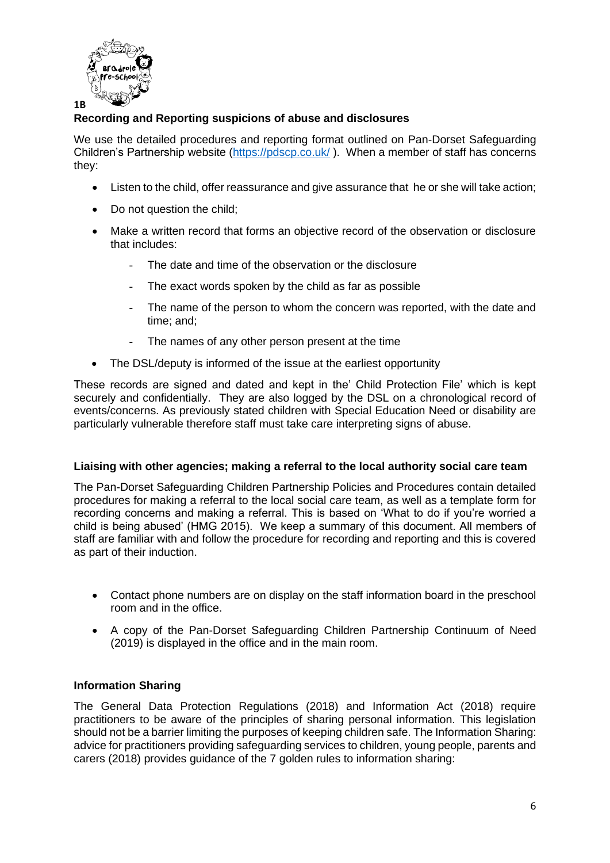

# **Recording and Reporting suspicions of abuse and disclosures**

We use the detailed procedures and reporting format outlined on Pan-Dorset Safeguarding Children's Partnership website [\(https://pdscp.co.uk/](https://pdscp.co.uk/) ). When a member of staff has concerns they:

- Listen to the child, offer reassurance and give assurance that he or she will take action;
- Do not question the child:
- Make a written record that forms an objective record of the observation or disclosure that includes:
	- The date and time of the observation or the disclosure
	- The exact words spoken by the child as far as possible
	- The name of the person to whom the concern was reported, with the date and time; and;
	- The names of any other person present at the time
- The DSL/deputy is informed of the issue at the earliest opportunity

These records are signed and dated and kept in the' Child Protection File' which is kept securely and confidentially. They are also logged by the DSL on a chronological record of events/concerns. As previously stated children with Special Education Need or disability are particularly vulnerable therefore staff must take care interpreting signs of abuse.

# **Liaising with other agencies; making a referral to the local authority social care team**

The Pan-Dorset Safeguarding Children Partnership Policies and Procedures contain detailed procedures for making a referral to the local social care team, as well as a template form for recording concerns and making a referral. This is based on 'What to do if you're worried a child is being abused' (HMG 2015). We keep a summary of this document. All members of staff are familiar with and follow the procedure for recording and reporting and this is covered as part of their induction.

- Contact phone numbers are on display on the staff information board in the preschool room and in the office.
- A copy of the Pan-Dorset Safeguarding Children Partnership Continuum of Need (2019) is displayed in the office and in the main room.

# **Information Sharing**

The General Data Protection Regulations (2018) and Information Act (2018) require practitioners to be aware of the principles of sharing personal information. This legislation should not be a barrier limiting the purposes of keeping children safe. The Information Sharing: advice for practitioners providing safeguarding services to children, young people, parents and carers (2018) provides guidance of the 7 golden rules to information sharing: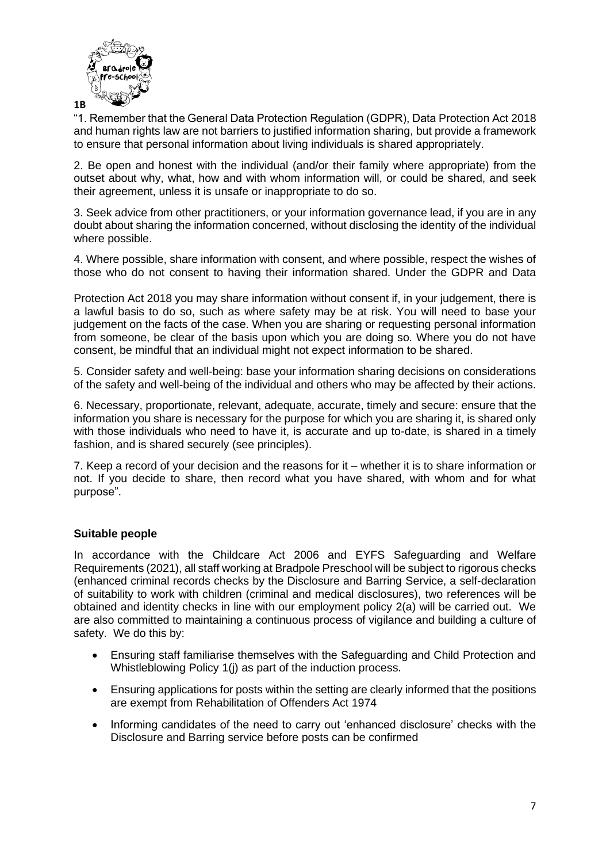

"1. Remember that the General Data Protection Regulation (GDPR), Data Protection Act 2018 and human rights law are not barriers to justified information sharing, but provide a framework to ensure that personal information about living individuals is shared appropriately.

2. Be open and honest with the individual (and/or their family where appropriate) from the outset about why, what, how and with whom information will, or could be shared, and seek their agreement, unless it is unsafe or inappropriate to do so.

3. Seek advice from other practitioners, or your information governance lead, if you are in any doubt about sharing the information concerned, without disclosing the identity of the individual where possible.

4. Where possible, share information with consent, and where possible, respect the wishes of those who do not consent to having their information shared. Under the GDPR and Data

Protection Act 2018 you may share information without consent if, in your judgement, there is a lawful basis to do so, such as where safety may be at risk. You will need to base your judgement on the facts of the case. When you are sharing or requesting personal information from someone, be clear of the basis upon which you are doing so. Where you do not have consent, be mindful that an individual might not expect information to be shared.

5. Consider safety and well-being: base your information sharing decisions on considerations of the safety and well-being of the individual and others who may be affected by their actions.

6. Necessary, proportionate, relevant, adequate, accurate, timely and secure: ensure that the information you share is necessary for the purpose for which you are sharing it, is shared only with those individuals who need to have it, is accurate and up to-date, is shared in a timely fashion, and is shared securely (see principles).

7. Keep a record of your decision and the reasons for it – whether it is to share information or not. If you decide to share, then record what you have shared, with whom and for what purpose".

# **Suitable people**

In accordance with the Childcare Act 2006 and EYFS Safeguarding and Welfare Requirements (2021), all staff working at Bradpole Preschool will be subject to rigorous checks (enhanced criminal records checks by the Disclosure and Barring Service, a self-declaration of suitability to work with children (criminal and medical disclosures), two references will be obtained and identity checks in line with our employment policy 2(a) will be carried out. We are also committed to maintaining a continuous process of vigilance and building a culture of safety. We do this by:

- Ensuring staff familiarise themselves with the Safeguarding and Child Protection and Whistleblowing Policy 1(j) as part of the induction process.
- Ensuring applications for posts within the setting are clearly informed that the positions are exempt from Rehabilitation of Offenders Act 1974
- Informing candidates of the need to carry out 'enhanced disclosure' checks with the Disclosure and Barring service before posts can be confirmed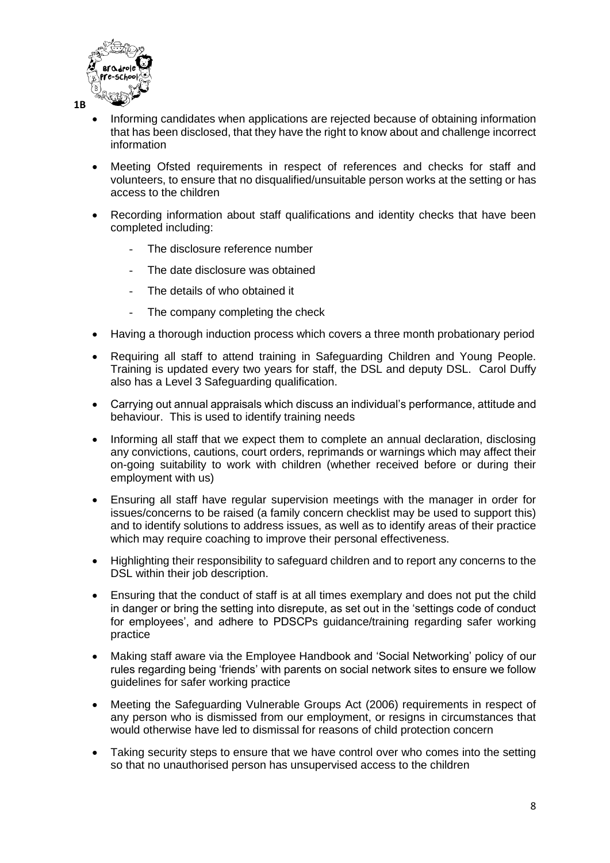

- Informing candidates when applications are rejected because of obtaining information that has been disclosed, that they have the right to know about and challenge incorrect information
- Meeting Ofsted requirements in respect of references and checks for staff and volunteers, to ensure that no disqualified/unsuitable person works at the setting or has access to the children
- Recording information about staff qualifications and identity checks that have been completed including:
	- The disclosure reference number
	- The date disclosure was obtained
	- The details of who obtained it
	- The company completing the check
- Having a thorough induction process which covers a three month probationary period
- Requiring all staff to attend training in Safeguarding Children and Young People. Training is updated every two years for staff, the DSL and deputy DSL. Carol Duffy also has a Level 3 Safeguarding qualification.
- Carrying out annual appraisals which discuss an individual's performance, attitude and behaviour. This is used to identify training needs
- Informing all staff that we expect them to complete an annual declaration, disclosing any convictions, cautions, court orders, reprimands or warnings which may affect their on-going suitability to work with children (whether received before or during their employment with us)
- Ensuring all staff have regular supervision meetings with the manager in order for issues/concerns to be raised (a family concern checklist may be used to support this) and to identify solutions to address issues, as well as to identify areas of their practice which may require coaching to improve their personal effectiveness.
- Highlighting their responsibility to safeguard children and to report any concerns to the DSL within their job description.
- Ensuring that the conduct of staff is at all times exemplary and does not put the child in danger or bring the setting into disrepute, as set out in the 'settings code of conduct for employees', and adhere to PDSCPs guidance/training regarding safer working practice
- Making staff aware via the Employee Handbook and 'Social Networking' policy of our rules regarding being 'friends' with parents on social network sites to ensure we follow guidelines for safer working practice
- Meeting the Safeguarding Vulnerable Groups Act (2006) requirements in respect of any person who is dismissed from our employment, or resigns in circumstances that would otherwise have led to dismissal for reasons of child protection concern
- Taking security steps to ensure that we have control over who comes into the setting so that no unauthorised person has unsupervised access to the children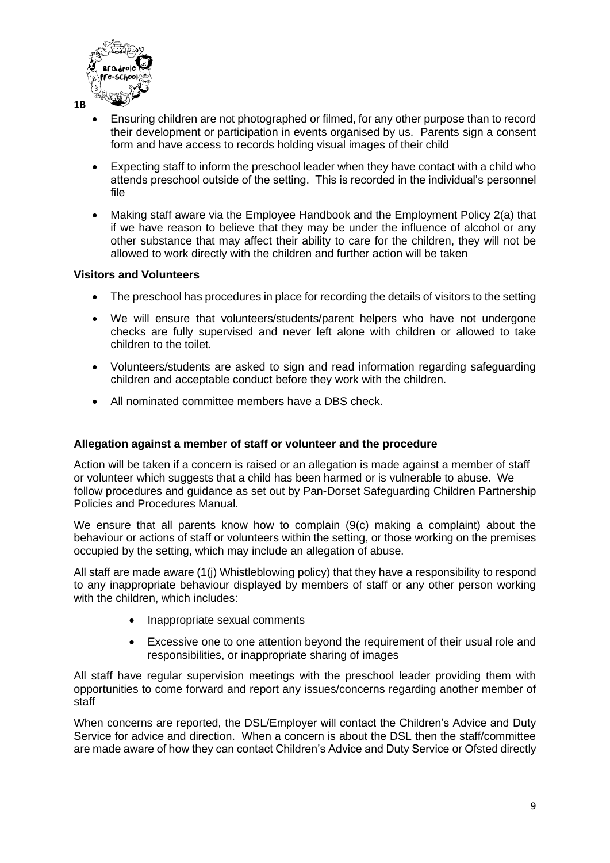

- Ensuring children are not photographed or filmed, for any other purpose than to record their development or participation in events organised by us. Parents sign a consent form and have access to records holding visual images of their child
- Expecting staff to inform the preschool leader when they have contact with a child who attends preschool outside of the setting. This is recorded in the individual's personnel file
- Making staff aware via the Employee Handbook and the Employment Policy 2(a) that if we have reason to believe that they may be under the influence of alcohol or any other substance that may affect their ability to care for the children, they will not be allowed to work directly with the children and further action will be taken

# **Visitors and Volunteers**

- The preschool has procedures in place for recording the details of visitors to the setting
- We will ensure that volunteers/students/parent helpers who have not undergone checks are fully supervised and never left alone with children or allowed to take children to the toilet.
- Volunteers/students are asked to sign and read information regarding safeguarding children and acceptable conduct before they work with the children.
- All nominated committee members have a DBS check.

# **Allegation against a member of staff or volunteer and the procedure**

Action will be taken if a concern is raised or an allegation is made against a member of staff or volunteer which suggests that a child has been harmed or is vulnerable to abuse. We follow procedures and guidance as set out by Pan-Dorset Safeguarding Children Partnership Policies and Procedures Manual.

We ensure that all parents know how to complain (9(c) making a complaint) about the behaviour or actions of staff or volunteers within the setting, or those working on the premises occupied by the setting, which may include an allegation of abuse.

All staff are made aware (1(j) Whistleblowing policy) that they have a responsibility to respond to any inappropriate behaviour displayed by members of staff or any other person working with the children, which includes:

- Inappropriate sexual comments
- Excessive one to one attention beyond the requirement of their usual role and responsibilities, or inappropriate sharing of images

All staff have regular supervision meetings with the preschool leader providing them with opportunities to come forward and report any issues/concerns regarding another member of staff

When concerns are reported, the DSL/Employer will contact the Children's Advice and Duty Service for advice and direction. When a concern is about the DSL then the staff/committee are made aware of how they can contact Children's Advice and Duty Service or Ofsted directly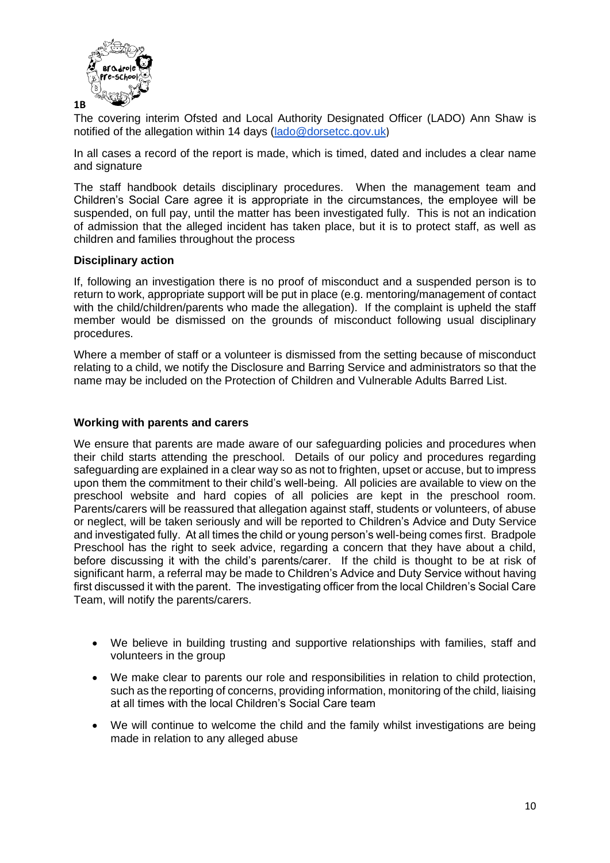

The covering interim Ofsted and Local Authority Designated Officer (LADO) Ann Shaw is notified of the allegation within 14 days [\(lado@dorsetcc.gov.uk](mailto:lado@dorsetcc.gov.uk))

In all cases a record of the report is made, which is timed, dated and includes a clear name and signature

The staff handbook details disciplinary procedures. When the management team and Children's Social Care agree it is appropriate in the circumstances, the employee will be suspended, on full pay, until the matter has been investigated fully. This is not an indication of admission that the alleged incident has taken place, but it is to protect staff, as well as children and families throughout the process

#### **Disciplinary action**

If, following an investigation there is no proof of misconduct and a suspended person is to return to work, appropriate support will be put in place (e.g. mentoring/management of contact with the child/children/parents who made the allegation). If the complaint is upheld the staff member would be dismissed on the grounds of misconduct following usual disciplinary procedures.

Where a member of staff or a volunteer is dismissed from the setting because of misconduct relating to a child, we notify the Disclosure and Barring Service and administrators so that the name may be included on the Protection of Children and Vulnerable Adults Barred List.

#### **Working with parents and carers**

We ensure that parents are made aware of our safeguarding policies and procedures when their child starts attending the preschool. Details of our policy and procedures regarding safeguarding are explained in a clear way so as not to frighten, upset or accuse, but to impress upon them the commitment to their child's well-being. All policies are available to view on the preschool website and hard copies of all policies are kept in the preschool room. Parents/carers will be reassured that allegation against staff, students or volunteers, of abuse or neglect, will be taken seriously and will be reported to Children's Advice and Duty Service and investigated fully. At all times the child or young person's well-being comes first. Bradpole Preschool has the right to seek advice, regarding a concern that they have about a child, before discussing it with the child's parents/carer. If the child is thought to be at risk of significant harm, a referral may be made to Children's Advice and Duty Service without having first discussed it with the parent. The investigating officer from the local Children's Social Care Team, will notify the parents/carers.

- We believe in building trusting and supportive relationships with families, staff and volunteers in the group
- We make clear to parents our role and responsibilities in relation to child protection, such as the reporting of concerns, providing information, monitoring of the child, liaising at all times with the local Children's Social Care team
- We will continue to welcome the child and the family whilst investigations are being made in relation to any alleged abuse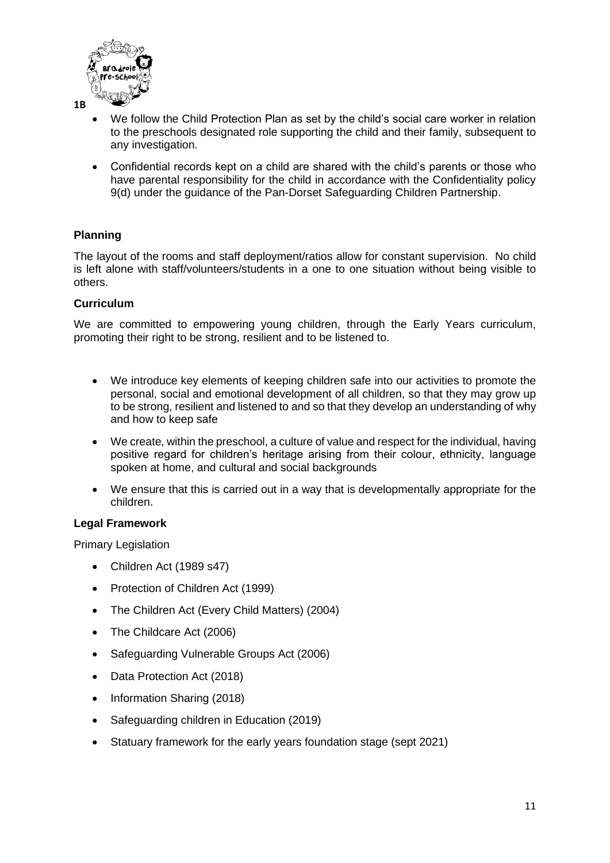

- We follow the Child Protection Plan as set by the child's social care worker in relation to the preschools designated role supporting the child and their family, subsequent to any investigation.
- Confidential records kept on a child are shared with the child's parents or those who have parental responsibility for the child in accordance with the Confidentiality policy 9(d) under the guidance of the Pan-Dorset Safeguarding Children Partnership.

# **Planning**

The layout of the rooms and staff deployment/ratios allow for constant supervision. No child is left alone with staff/volunteers/students in a one to one situation without being visible to others.

# **Curriculum**

We are committed to empowering young children, through the Early Years curriculum, promoting their right to be strong, resilient and to be listened to.

- We introduce key elements of keeping children safe into our activities to promote the personal, social and emotional development of all children, so that they may grow up to be strong, resilient and listened to and so that they develop an understanding of why and how to keep safe
- We create, within the preschool, a culture of value and respect for the individual, having positive regard for children's heritage arising from their colour, ethnicity, language spoken at home, and cultural and social backgrounds
- We ensure that this is carried out in a way that is developmentally appropriate for the children.

# **Legal Framework**

Primary Legislation

- Children Act (1989 s47)
- Protection of Children Act (1999)
- The Children Act (Every Child Matters) (2004)
- The Childcare Act (2006)
- Safeguarding Vulnerable Groups Act (2006)
- Data Protection Act (2018)
- Information Sharing (2018)
- Safeguarding children in Education (2019)
- Statuary framework for the early years foundation stage (sept 2021)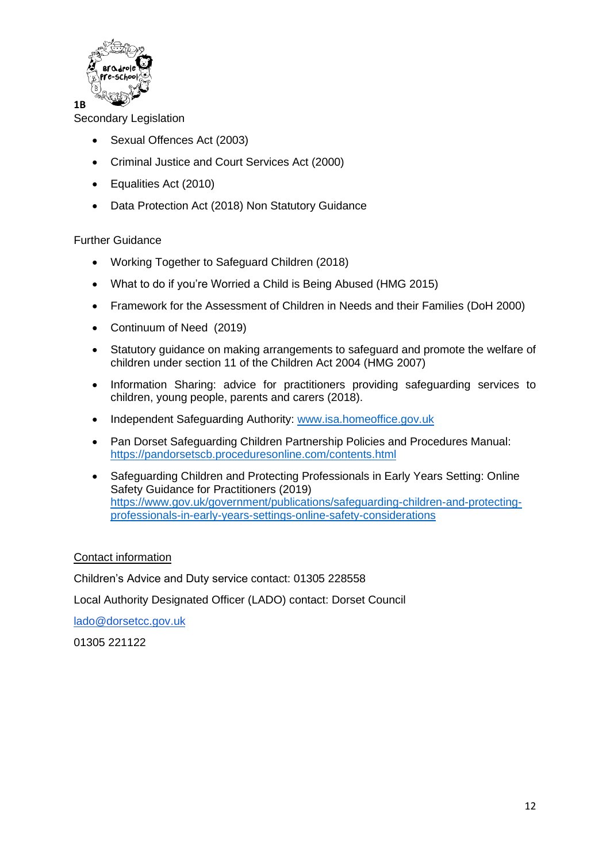

Secondary Legislation

- Sexual Offences Act (2003)
- Criminal Justice and Court Services Act (2000)
- Equalities Act (2010)
- Data Protection Act (2018) Non Statutory Guidance

# Further Guidance

- Working Together to Safeguard Children (2018)
- What to do if you're Worried a Child is Being Abused (HMG 2015)
- Framework for the Assessment of Children in Needs and their Families (DoH 2000)
- Continuum of Need (2019)
- Statutory guidance on making arrangements to safeguard and promote the welfare of children under section 11 of the Children Act 2004 (HMG 2007)
- Information Sharing: advice for practitioners providing safeguarding services to children, young people, parents and carers (2018).
- Independent Safeguarding Authority: [www.isa.homeoffice.gov.uk](http://www.isa.homeoffice.gov.uk/)
- Pan Dorset Safeguarding Children Partnership Policies and Procedures Manual: <https://pandorsetscb.proceduresonline.com/contents.html>
- Safeguarding Children and Protecting Professionals in Early Years Setting: Online Safety Guidance for Practitioners (2019) [https://www.gov.uk/government/publications/safeguarding-children-and-protecting](https://www.gov.uk/government/publications/safeguarding-children-and-protecting-professionals-in-early-years-settings-online-safety-considerations)[professionals-in-early-years-settings-online-safety-considerations](https://www.gov.uk/government/publications/safeguarding-children-and-protecting-professionals-in-early-years-settings-online-safety-considerations)

# Contact information

Children's Advice and Duty service contact: 01305 228558

Local Authority Designated Officer (LADO) contact: Dorset Council

[lado@dorsetcc.gov.uk](mailto:lado@dorsetcc.gov.uk)

01305 221122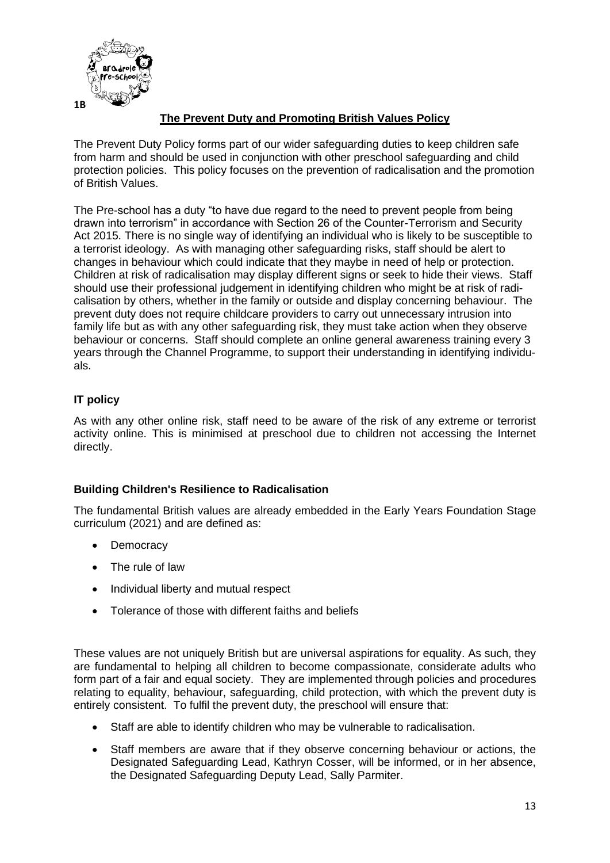

# **The Prevent Duty and Promoting British Values Policy**

The Prevent Duty Policy forms part of our wider safeguarding duties to keep children safe from harm and should be used in conjunction with other preschool safeguarding and child protection policies. This policy focuses on the prevention of radicalisation and the promotion of British Values.

The Pre-school has a duty "to have due regard to the need to prevent people from being drawn into terrorism" in accordance with Section 26 of the Counter-Terrorism and Security Act 2015. There is no single way of identifying an individual who is likely to be susceptible to a terrorist ideology. As with managing other safeguarding risks, staff should be alert to changes in behaviour which could indicate that they maybe in need of help or protection. Children at risk of radicalisation may display different signs or seek to hide their views. Staff should use their professional judgement in identifying children who might be at risk of radicalisation by others, whether in the family or outside and display concerning behaviour. The prevent duty does not require childcare providers to carry out unnecessary intrusion into family life but as with any other safeguarding risk, they must take action when they observe behaviour or concerns. Staff should complete an online general awareness training every 3 years through the Channel Programme, to support their understanding in identifying individuals.

# **IT policy**

As with any other online risk, staff need to be aware of the risk of any extreme or terrorist activity online. This is minimised at preschool due to children not accessing the Internet directly.

# **Building Children's Resilience to Radicalisation**

The fundamental British values are already embedded in the Early Years Foundation Stage curriculum (2021) and are defined as:

- Democracy
- The rule of law
- Individual liberty and mutual respect
- Tolerance of those with different faiths and beliefs

These values are not uniquely British but are universal aspirations for equality. As such, they are fundamental to helping all children to become compassionate, considerate adults who form part of a fair and equal society. They are implemented through policies and procedures relating to equality, behaviour, safeguarding, child protection, with which the prevent duty is entirely consistent. To fulfil the prevent duty, the preschool will ensure that:

- Staff are able to identify children who may be vulnerable to radicalisation.
- Staff members are aware that if they observe concerning behaviour or actions, the Designated Safeguarding Lead, Kathryn Cosser, will be informed, or in her absence, the Designated Safeguarding Deputy Lead, Sally Parmiter.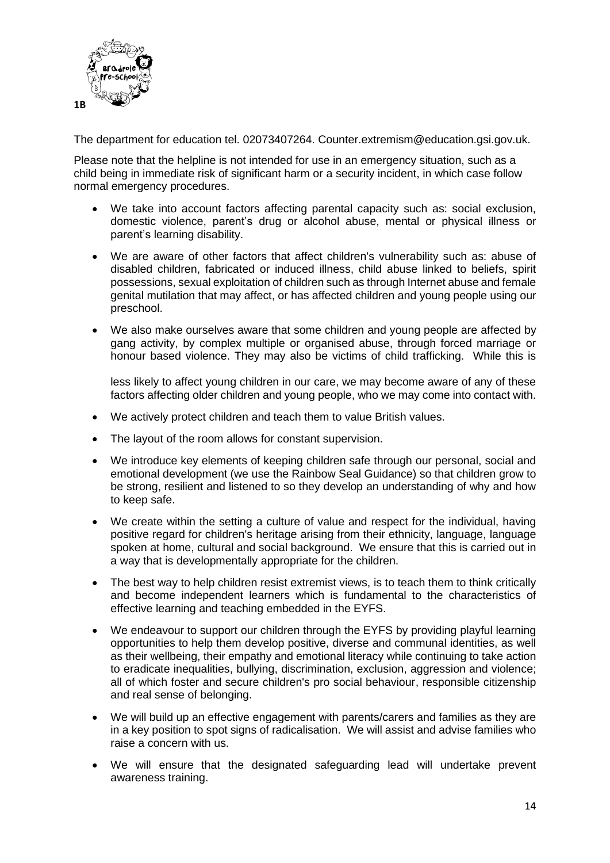

The department for education tel. 02073407264. Counter.extremism@education.gsi.gov.uk.

Please note that the helpline is not intended for use in an emergency situation, such as a child being in immediate risk of significant harm or a security incident, in which case follow normal emergency procedures.

- We take into account factors affecting parental capacity such as: social exclusion, domestic violence, parent's drug or alcohol abuse, mental or physical illness or parent's learning disability.
- We are aware of other factors that affect children's vulnerability such as: abuse of disabled children, fabricated or induced illness, child abuse linked to beliefs, spirit possessions, sexual exploitation of children such as through Internet abuse and female genital mutilation that may affect, or has affected children and young people using our preschool.
- We also make ourselves aware that some children and young people are affected by gang activity, by complex multiple or organised abuse, through forced marriage or honour based violence. They may also be victims of child trafficking. While this is

less likely to affect young children in our care, we may become aware of any of these factors affecting older children and young people, who we may come into contact with.

- We actively protect children and teach them to value British values.
- The layout of the room allows for constant supervision.
- We introduce key elements of keeping children safe through our personal, social and emotional development (we use the Rainbow Seal Guidance) so that children grow to be strong, resilient and listened to so they develop an understanding of why and how to keep safe.
- We create within the setting a culture of value and respect for the individual, having positive regard for children's heritage arising from their ethnicity, language, language spoken at home, cultural and social background. We ensure that this is carried out in a way that is developmentally appropriate for the children.
- The best way to help children resist extremist views, is to teach them to think critically and become independent learners which is fundamental to the characteristics of effective learning and teaching embedded in the EYFS.
- We endeavour to support our children through the EYFS by providing playful learning opportunities to help them develop positive, diverse and communal identities, as well as their wellbeing, their empathy and emotional literacy while continuing to take action to eradicate inequalities, bullying, discrimination, exclusion, aggression and violence; all of which foster and secure children's pro social behaviour, responsible citizenship and real sense of belonging.
- We will build up an effective engagement with parents/carers and families as they are in a key position to spot signs of radicalisation. We will assist and advise families who raise a concern with us.
- We will ensure that the designated safeguarding lead will undertake prevent awareness training.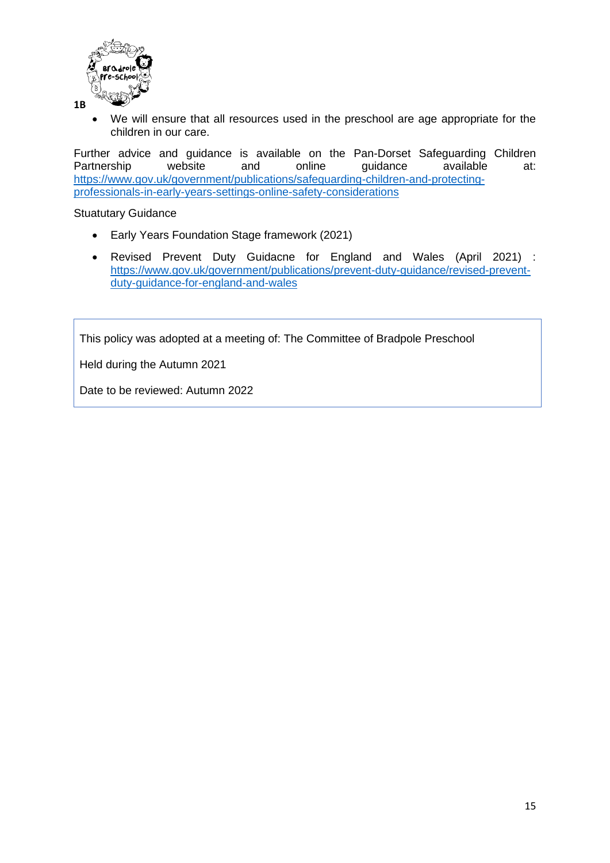

• We will ensure that all resources used in the preschool are age appropriate for the children in our care.

Further advice and guidance is available on the Pan-Dorset Safeguarding Children<br>Partnership website and online quidance available at: Partnership website and online quidance available at: [https://www.gov.uk/government/publications/safeguarding-children-and-protecting](https://www.gov.uk/government/publications/safeguarding-children-and-protecting-professionals-in-early-years-settings-online-safety-considerations)[professionals-in-early-years-settings-online-safety-considerations](https://www.gov.uk/government/publications/safeguarding-children-and-protecting-professionals-in-early-years-settings-online-safety-considerations)

Stuatutary Guidance

- Early Years Foundation Stage framework (2021)
- Revised Prevent Duty Guidacne for England and Wales (April 2021) : [https://www.gov.uk/government/publications/prevent-duty-guidance/revised-prevent](https://www.gov.uk/government/publications/prevent-duty-guidance/revised-prevent-duty-guidance-for-england-and-wales)[duty-guidance-for-england-and-wales](https://www.gov.uk/government/publications/prevent-duty-guidance/revised-prevent-duty-guidance-for-england-and-wales)

This policy was adopted at a meeting of: The Committee of Bradpole Preschool

Held during the Autumn 2021

Date to be reviewed: Autumn 2022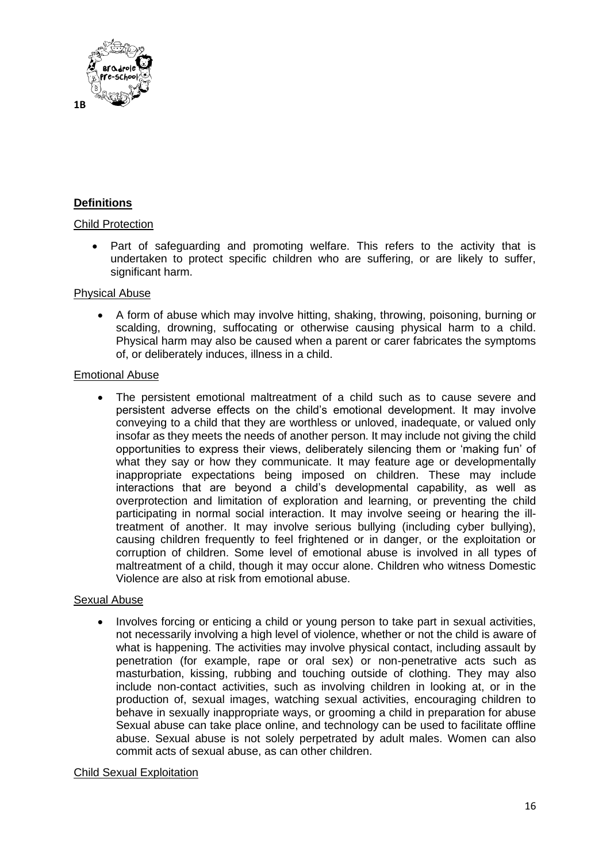

# **Definitions**

#### Child Protection

Part of safeguarding and promoting welfare. This refers to the activity that is undertaken to protect specific children who are suffering, or are likely to suffer, significant harm.

#### Physical Abuse

• A form of abuse which may involve hitting, shaking, throwing, poisoning, burning or scalding, drowning, suffocating or otherwise causing physical harm to a child. Physical harm may also be caused when a parent or carer fabricates the symptoms of, or deliberately induces, illness in a child.

#### Emotional Abuse

• The persistent emotional maltreatment of a child such as to cause severe and persistent adverse effects on the child's emotional development. It may involve conveying to a child that they are worthless or unloved, inadequate, or valued only insofar as they meets the needs of another person. It may include not giving the child opportunities to express their views, deliberately silencing them or 'making fun' of what they say or how they communicate. It may feature age or developmentally inappropriate expectations being imposed on children. These may include interactions that are beyond a child's developmental capability, as well as overprotection and limitation of exploration and learning, or preventing the child participating in normal social interaction. It may involve seeing or hearing the illtreatment of another. It may involve serious bullying (including cyber bullying), causing children frequently to feel frightened or in danger, or the exploitation or corruption of children. Some level of emotional abuse is involved in all types of maltreatment of a child, though it may occur alone. Children who witness Domestic Violence are also at risk from emotional abuse.

# Sexual Abuse

• Involves forcing or enticing a child or young person to take part in sexual activities, not necessarily involving a high level of violence, whether or not the child is aware of what is happening. The activities may involve physical contact, including assault by penetration (for example, rape or oral sex) or non-penetrative acts such as masturbation, kissing, rubbing and touching outside of clothing. They may also include non-contact activities, such as involving children in looking at, or in the production of, sexual images, watching sexual activities, encouraging children to behave in sexually inappropriate ways, or grooming a child in preparation for abuse Sexual abuse can take place online, and technology can be used to facilitate offline abuse. Sexual abuse is not solely perpetrated by adult males. Women can also commit acts of sexual abuse, as can other children.

# Child Sexual Exploitation